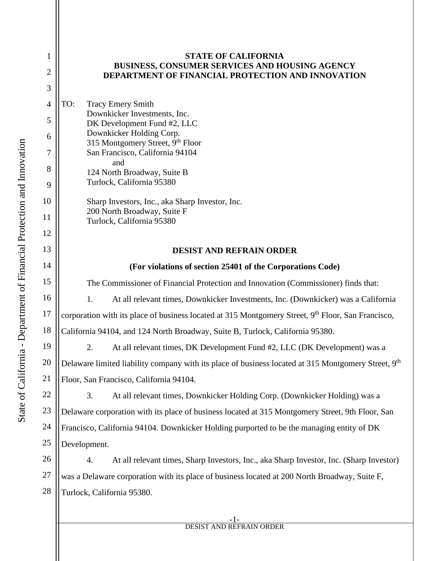| $\mathbf{1}$   | <b>STATE OF CALIFORNIA</b>                                                                                      |
|----------------|-----------------------------------------------------------------------------------------------------------------|
| $\overline{2}$ | BUSINESS, CONSUMER SERVICES AND HOUSING AGENCY<br>DEPARTMENT OF FINANCIAL PROTECTION AND INNOVATION             |
| 3              |                                                                                                                 |
| 4              | TO:<br><b>Tracy Emery Smith</b>                                                                                 |
| 5              | Downkicker Investments, Inc.<br>DK Development Fund #2, LLC                                                     |
| 6              | Downkicker Holding Corp.                                                                                        |
| 7              | 315 Montgomery Street, 9th Floor<br>San Francisco, California 94104                                             |
| 8              | and<br>124 North Broadway, Suite B                                                                              |
| 9              | Turlock, California 95380                                                                                       |
| 10             | Sharp Investors, Inc., aka Sharp Investor, Inc.                                                                 |
| 11             | 200 North Broadway, Suite F<br>Turlock, California 95380                                                        |
| 12             |                                                                                                                 |
| 13             | <b>DESIST AND REFRAIN ORDER</b>                                                                                 |
| 14             | (For violations of section 25401 of the Corporations Code)                                                      |
| 15             | The Commissioner of Financial Protection and Innovation (Commissioner) finds that:                              |
| 16             | At all relevant times, Downkicker Investments, Inc. (Downkicker) was a California<br>1.                         |
| 17             | corporation with its place of business located at 315 Montgomery Street, 9 <sup>th</sup> Floor, San Francisco,  |
| 18             | California 94104, and 124 North Broadway, Suite B, Turlock, California 95380.                                   |
| 19             | At all relevant times, DK Development Fund #2, LLC (DK Development) was a                                       |
| 20             | Delaware limited liability company with its place of business located at 315 Montgomery Street, 9 <sup>th</sup> |
| 21             | Floor, San Francisco, California 94104.                                                                         |
| 22             | 3.<br>At all relevant times, Downkicker Holding Corp. (Downkicker Holding) was a                                |
| 23             | Delaware corporation with its place of business located at 315 Montgomery Street, 9th Floor, San                |
| 24             | Francisco, California 94104. Downkicker Holding purported to be the managing entity of DK                       |
| 25             | Development.                                                                                                    |
| 26             | At all relevant times, Sharp Investors, Inc., aka Sharp Investor, Inc. (Sharp Investor)<br>4.                   |
| 27             | was a Delaware corporation with its place of business located at 200 North Broadway, Suite F,                   |
| 28             | Turlock, California 95380.                                                                                      |
|                |                                                                                                                 |
|                | -1-<br>DESIST AND REFRAIN ORDER                                                                                 |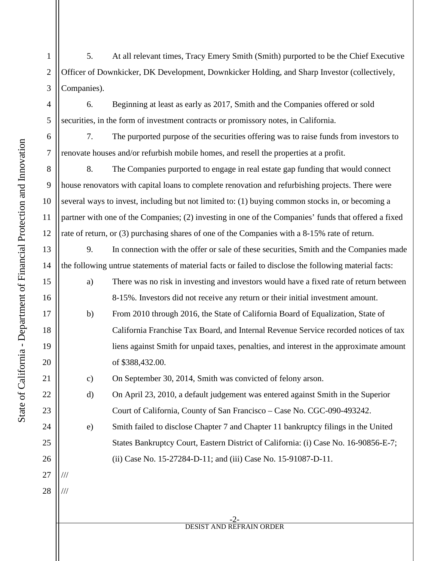1 2 3 5. At all relevant times, Tracy Emery Smith (Smith) purported to be the Chief Executive Officer of Downkicker, DK Development, Downkicker Holding, and Sharp Investor (collectively, Companies).

6. Beginning at least as early as 2017, Smith and the Companies offered or sold securities, in the form of investment contracts or promissory notes, in California.

7. The purported purpose of the securities offering was to raise funds from investors to renovate houses and/or refurbish mobile homes, and resell the properties at a profit.

8. The Companies purported to engage in real estate gap funding that would connect house renovators with capital loans to complete renovation and refurbishing projects. There were several ways to invest, including but not limited to: (1) buying common stocks in, or becoming a partner with one of the Companies; (2) investing in one of the Companies' funds that offered a fixed rate of return, or (3) purchasing shares of one of the Companies with a 8-15% rate of return.

 9. In connection with the offer or sale of these securities, Smith and the Companies made the following untrue statements of material facts or failed to disclose the following material facts:

a) There was no risk in investing and investors would have a fixed rate of return between 8-15%. Investors did not receive any return or their initial investment amount.

b) From 2010 through 2016, the State of California Board of Equalization, State of California Franchise Tax Board, and Internal Revenue Service recorded notices of tax liens against Smith for unpaid taxes, penalties, and interest in the approximate amount of \$388,432.00.

c) On September 30, 2014, Smith was convicted of felony arson.

d) On April 23, 2010, a default judgement was entered against Smith in the Superior Court of California, County of San Francisco – Case No. CGC-090-493242.

e) Smith failed to disclose Chapter 7 and Chapter 11 bankruptcy filings in the United States Bankruptcy Court, Eastern District of California: (i) Case No. 16-90856-E-7; (ii) Case No. 15-27284-D-11; and (iii) Case No. 15-91087-D-11.

5

6

7

8

9

4

10

11

12

13

15

16

17

18

19

14

20

21

22

23

24

25

26

27

///

///

28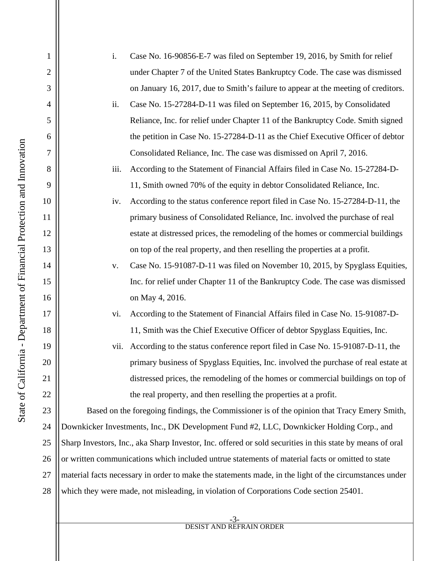| i.   | Case No. 16-90856-E-7 was filed on September 19, 2016, by Smith for relief                                |
|------|-----------------------------------------------------------------------------------------------------------|
|      | under Chapter 7 of the United States Bankruptcy Code. The case was dismissed                              |
|      | on January 16, 2017, due to Smith's failure to appear at the meeting of creditors.                        |
| ii.  | Case No. 15-27284-D-11 was filed on September 16, 2015, by Consolidated                                   |
|      | Reliance, Inc. for relief under Chapter 11 of the Bankruptcy Code. Smith signed                           |
|      | the petition in Case No. 15-27284-D-11 as the Chief Executive Officer of debtor                           |
|      | Consolidated Reliance, Inc. The case was dismissed on April 7, 2016.                                      |
| iii. | According to the Statement of Financial Affairs filed in Case No. 15-27284-D-                             |
|      | 11, Smith owned 70% of the equity in debtor Consolidated Reliance, Inc.                                   |
| iv.  | According to the status conference report filed in Case No. 15-27284-D-11, the                            |
|      | primary business of Consolidated Reliance, Inc. involved the purchase of real                             |
|      | estate at distressed prices, the remodeling of the homes or commercial buildings                          |
|      | on top of the real property, and then reselling the properties at a profit.                               |
| V.   | Case No. 15-91087-D-11 was filed on November 10, 2015, by Spyglass Equities,                              |
|      | Inc. for relief under Chapter 11 of the Bankruptcy Code. The case was dismissed                           |
|      | on May 4, 2016.                                                                                           |
| vi.  | According to the Statement of Financial Affairs filed in Case No. 15-91087-D-                             |
|      | 11, Smith was the Chief Executive Officer of debtor Spyglass Equities, Inc.                               |
| vii. | According to the status conference report filed in Case No. 15-91087-D-11, the                            |
|      | primary business of Spyglass Equities, Inc. involved the purchase of real estate at                       |
|      | distressed prices, the remodeling of the homes or commercial buildings on top of                          |
|      | the real property, and then reselling the properties at a profit.                                         |
|      | Based on the foregoing findings, the Commissioner is of the opinion that Tracy Emery Smith,               |
|      | Downkicker Investments, Inc., DK Development Fund #2, LLC, Downkicker Holding Corp., and                  |
|      | Sharp Investors, Inc., aka Sharp Investor, Inc. offered or sold securities in this state by means of oral |
|      | or written communications which included untrue statements of material facts or omitted to state          |
|      | material facts necessary in order to make the statements made, in the light of the circumstances under    |
|      | which they were made, not misleading, in violation of Corporations Code section 25401.                    |

5

6

7

8

9

4

1

2

3

10

11

12

13

14

15

16

17

18

19

20

21

22

23

24

25

26

27

28